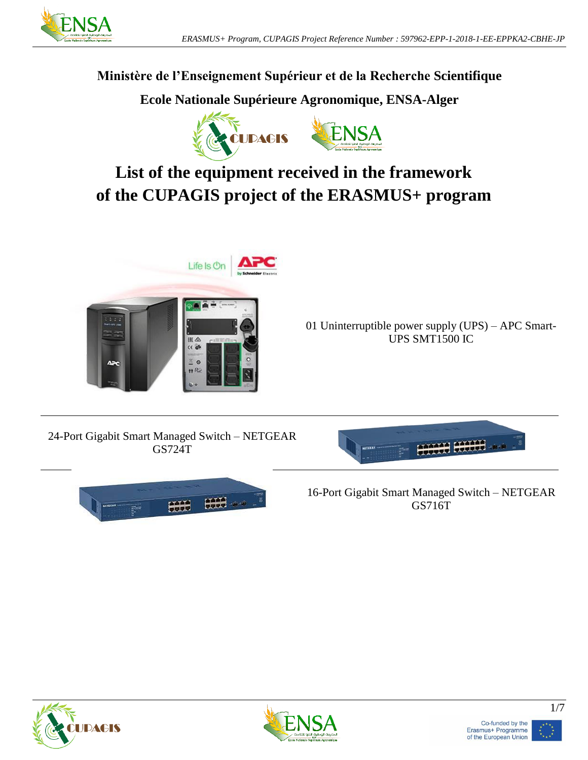

## **Ministère de l'Enseignement Supérieur et de la Recherche Scientifique**

**Ecole Nationale Supérieure Agronomique, ENSA-Alger**



## **List of the equipment received in the framework of the CUPAGIS project of the ERASMUS+ program**



01 Uninterruptible power supply (UPS) – APC Smart-UPS SMT1500 IC

24-Port Gigabit Smart Managed Switch – NETGEAR GS724T





16-Port Gigabit Smart Managed Switch – NETGEAR GS716T







1/7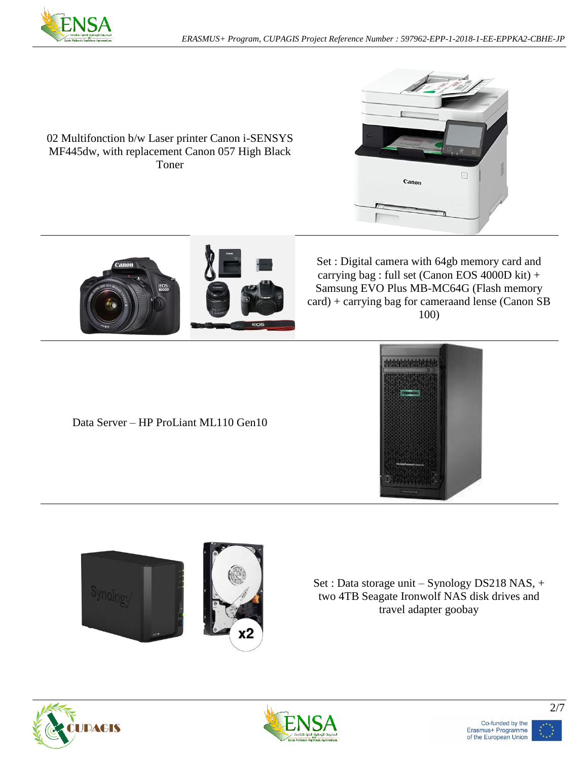

02 Multifonction b/w Laser printer Canon i-SENSYS MF445dw, with replacement Canon 057 High Black Toner





Set : Digital camera with 64gb memory card and carrying bag : full set (Canon EOS 4000D kit) + Samsung EVO Plus MB-MC64G (Flash memory card) + carrying bag for cameraand lense (Canon SB 100)

Data Server – HP ProLiant ML110 Gen10





Set : Data storage unit – Synology DS218 NAS, + two 4TB Seagate Ironwolf NAS disk drives and travel adapter goobay





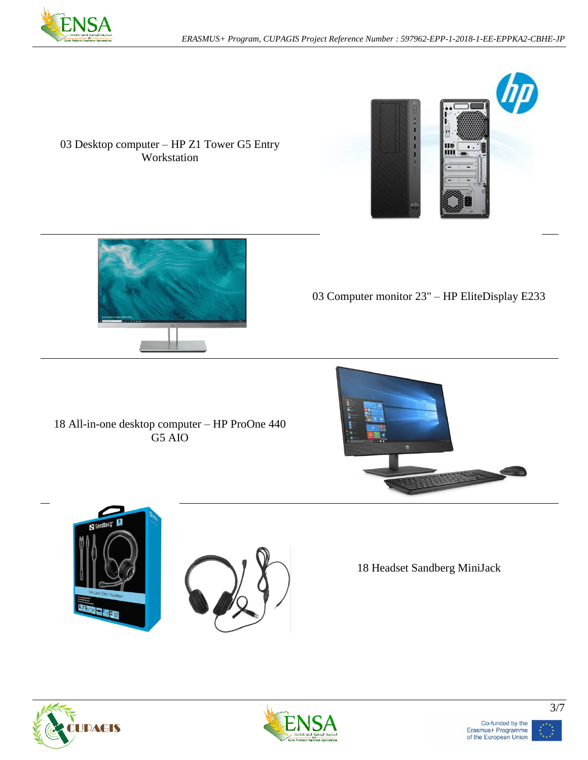



## 03 Desktop computer – HP Z1 Tower G5 Entry Workstation



03 Computer monitor 23" – HP EliteDisplay E233

18 All-in-one desktop computer – HP ProOne 440 G5 AIO







18 Headset Sandberg MiniJack





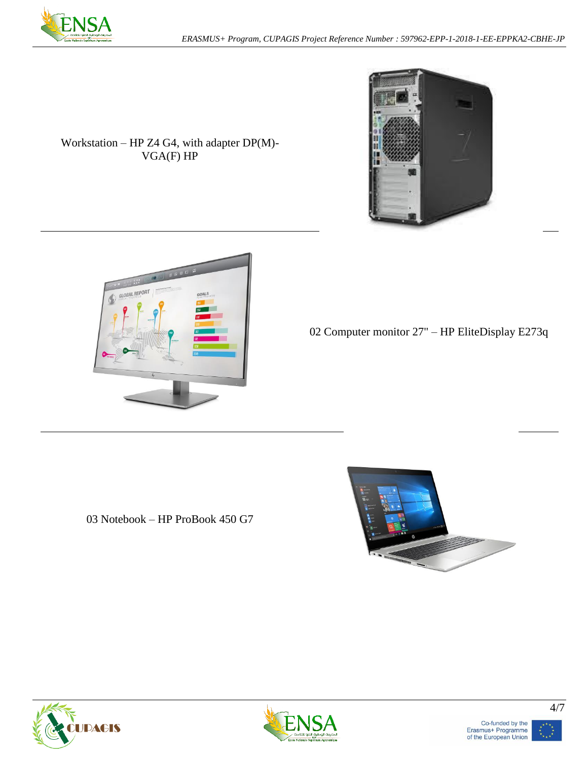



Workstation – HP Z4 G4, with adapter DP(M)- VGA(F) HP



02 Computer monitor 27" – HP EliteDisplay E273q

03 Notebook – HP ProBook 450 G7









4/7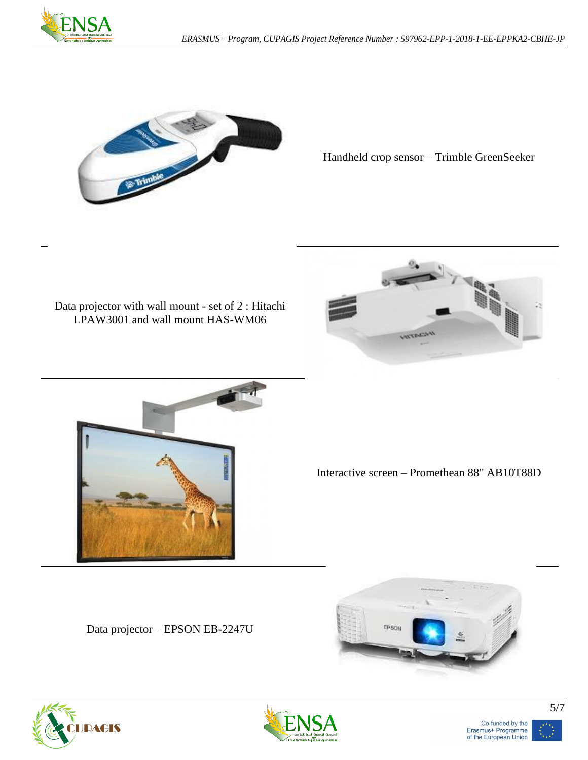



Handheld crop sensor – Trimble GreenSeeker

## Data projector with wall mount - set of 2 : Hitachi LPAW3001 and wall mount HAS-WM06





Interactive screen – Promethean 88" AB10T88D

Data projector – EPSON EB-2247U







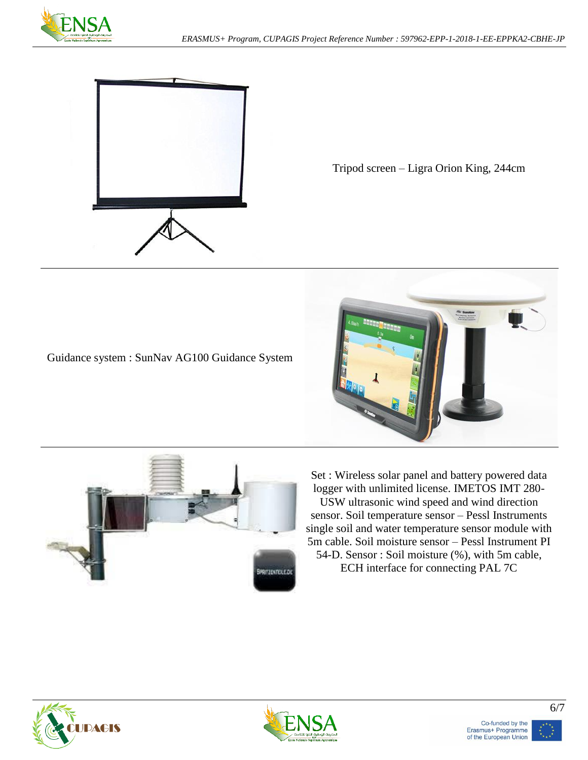



Tripod screen – Ligra Orion King, 244cm







Set : Wireless solar panel and battery powered data logger with unlimited license. IMETOS IMT 280- USW ultrasonic wind speed and wind direction sensor. Soil temperature sensor – Pessl Instruments single soil and water temperature sensor module with 5m cable. Soil moisture sensor – Pessl Instrument PI 54-D. Sensor : Soil moisture (%), with 5m cable, ECH interface for connecting PAL 7C